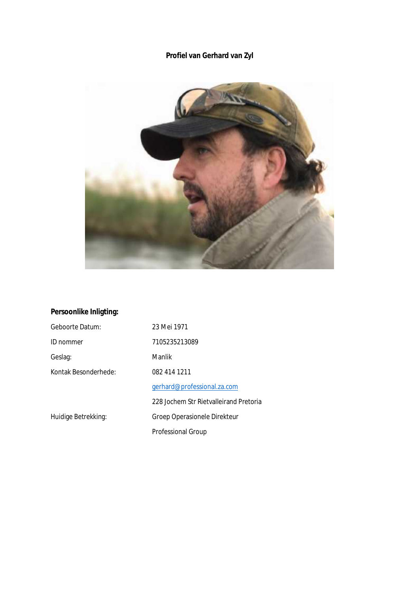# **Profiel van Gerhard van Zyl**



# **Persoonlike Inligting:**

| Geboorte Datum:      | 23 Mei 1971                            |
|----------------------|----------------------------------------|
| ID nommer            | 7105235213089                          |
| Geslag:              | Manlik                                 |
| Kontak Besonderhede: | 082 414 1211                           |
|                      | gerhard@professional.za.com            |
|                      | 228 Jochem Str Rietvalleirand Pretoria |
| Huidige Betrekking:  | Groep Operasionele Direkteur           |
|                      | <b>Professional Group</b>              |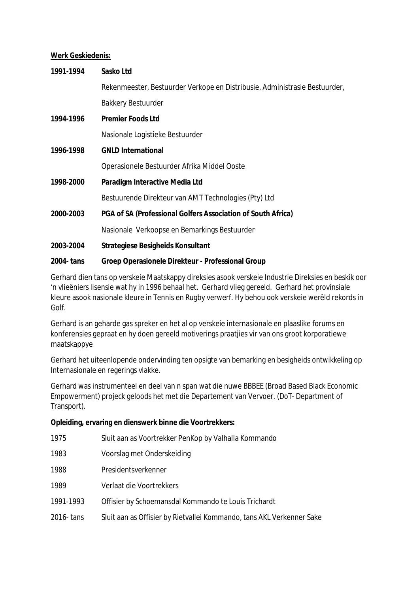### **Werk Geskiedenis:**

| 1991-1994  | Sasko Ltd                                                                  |
|------------|----------------------------------------------------------------------------|
|            | Rekenmeester, Bestuurder Verkope en Distribusie, Administrasie Bestuurder, |
|            | <b>Bakkery Bestuurder</b>                                                  |
| 1994-1996  | <b>Premier Foods Ltd</b>                                                   |
|            | Nasionale Logistieke Bestuurder                                            |
| 1996-1998  | <b>GNLD International</b>                                                  |
|            | Operasionele Bestuurder Afrika Middel Ooste                                |
| 1998-2000  | Paradigm Interactive Media Ltd                                             |
|            | Bestuurende Direkteur van AMT Technologies (Pty) Ltd                       |
| 2000-2003  | PGA of SA (Professional Golfers Association of South Africa)               |
|            | Nasionale Verkoopse en Bemarkings Bestuurder                               |
| 2003-2004  | Strategiese Besigheids Konsultant                                          |
| 2004- tans | Groep Operasionele Direkteur - Professional Group                          |

Gerhard dien tans op verskeie Maatskappy direksies asook verskeie Industrie Direksies en beskik oor 'n vlieëniers lisensie wat hy in 1996 behaal het. Gerhard vlieg gereeld. Gerhard het provinsiale kleure asook nasionale kleure in Tennis en Rugby verwerf. Hy behou ook verskeie werêld rekords in Golf.

Gerhard is an geharde gas spreker en het al op verskeie internasionale en plaaslike forums en konferensies gepraat en hy doen gereeld motiverings praatjies vir van ons groot korporatiewe maatskappye

Gerhard het uiteenlopende ondervinding ten opsigte van bemarking en besigheids ontwikkeling op Internasionale en regerings vlakke.

Gerhard was instrumenteel en deel van n span wat die nuwe BBBEE (Broad Based Black Economic Empowerment) projeck geloods het met die Departement van Vervoer. (DoT- Department of Transport).

**Opleiding, ervaring en dienswerk binne die Voortrekkers:** 

| 1975       | Sluit aan as Voortrekker PenKop by Valhalla Kommando                  |
|------------|-----------------------------------------------------------------------|
| 1983       | Voorslag met Onderskeiding                                            |
| 1988       | Presidentsverkenner                                                   |
| 1989       | Verlaat die Voortrekkers                                              |
| 1991-1993  | Offisier by Schoemansdal Kommando te Louis Trichardt                  |
| 2016- tans | Sluit aan as Offisier by Rietvallei Kommando, tans AKL Verkenner Sake |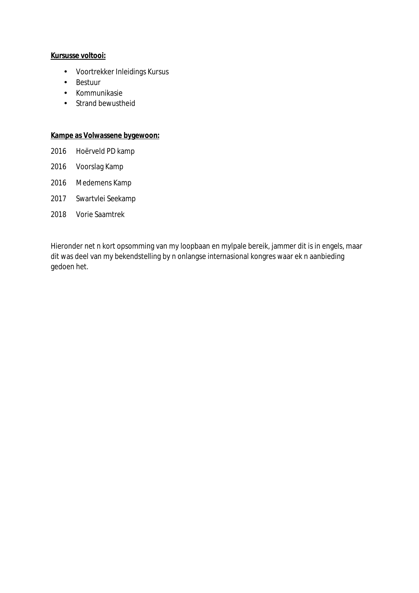### **Kursusse voltooi:**

- Voortrekker Inleidings Kursus
- Bestuur
- Kommunikasie
- Strand bewustheid

**Kampe as Volwassene bygewoon:** 

- 2016 Hoërveld PD kamp
- 2016 Voorslag Kamp
- 2016 Medemens Kamp
- 2017 Swartvlei Seekamp
- 2018 Vorie Saamtrek

Hieronder net n kort opsomming van my loopbaan en mylpale bereik, jammer dit is in engels, maar dit was deel van my bekendstelling by n onlangse internasional kongres waar ek n aanbieding gedoen het.